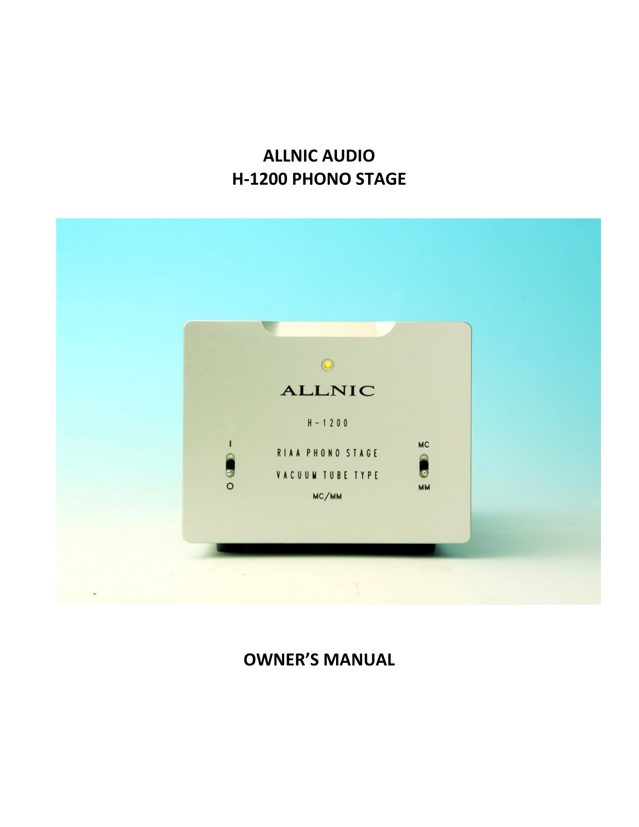## **ALLNIC AUDIO H-1200 PHONO STAGE**



## **OWNER'S MANUAL**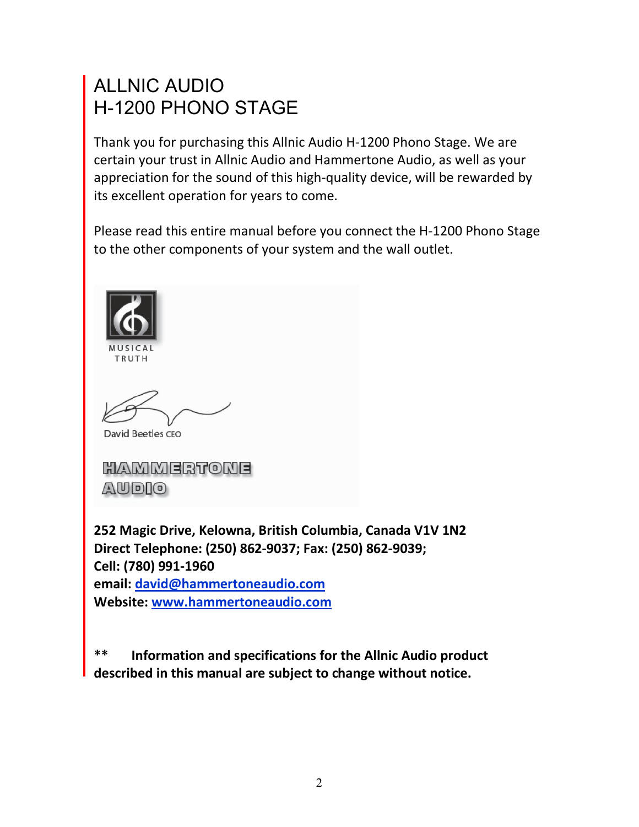# ALLNIC AUDIO H-1200 PHONO STAGE

Thank you for purchasing this Allnic Audio H-1200 Phono Stage. We are certain your trust in Allnic Audio and Hammertone Audio, as well as your appreciation for the sound of this high-quality device, will be rewarded by its excellent operation for years to come.

Please read this entire manual before you connect the H-1200 Phono Stage to the other components of your system and the wall outlet.



David Beetles CEO

HAMMERTONE AUDIO

**252 Magic Drive, Kelowna, British Columbia, Canada V1V 1N2 Direct Telephone: (250) 862-9037; Fax: (250) 862-9039; Cell: (780) 991-1960 email: david@hammertoneaudio.com Website: www.hammertoneaudio.com**

**\*\* Information and specifications for the Allnic Audio product described in this manual are subject to change without notice.**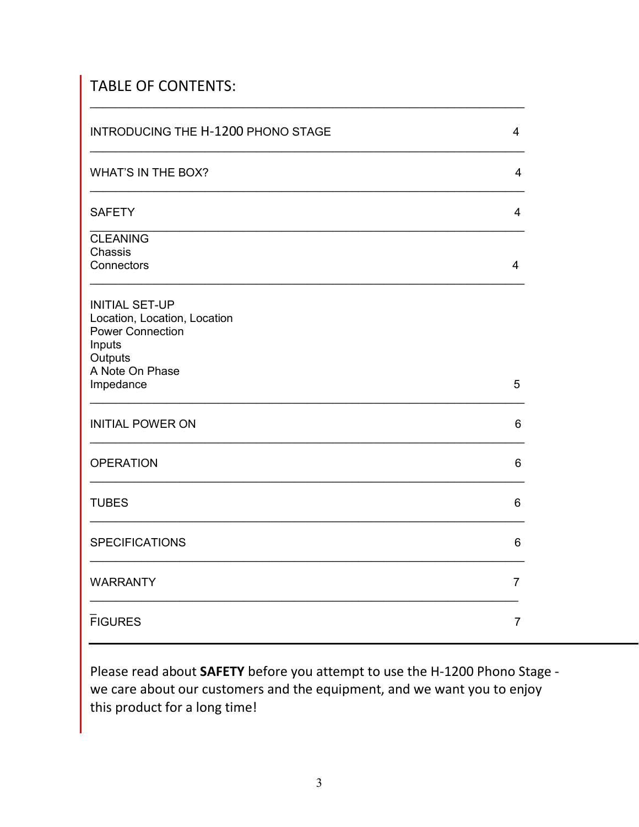## TABLE OF CONTENTS:

| INTRODUCING THE H-1200 PHONO STAGE                                                                                       | $\overline{4}$ |
|--------------------------------------------------------------------------------------------------------------------------|----------------|
| <b>WHAT'S IN THE BOX?</b>                                                                                                | 4              |
| <b>SAFETY</b>                                                                                                            | 4              |
| <b>CLEANING</b><br>Chassis<br>Connectors                                                                                 | $\overline{4}$ |
| <b>INITIAL SET-UP</b><br>Location, Location, Location<br><b>Power Connection</b><br>Inputs<br>Outputs<br>A Note On Phase |                |
| Impedance                                                                                                                | 5              |
| <b>INITIAL POWER ON</b>                                                                                                  | 6              |
| <b>OPERATION</b>                                                                                                         | 6              |
| <b>TUBES</b>                                                                                                             | 6              |
| <b>SPECIFICATIONS</b>                                                                                                    | 6              |
| <b>WARRANTY</b>                                                                                                          | $\overline{7}$ |
| <b>FIGURES</b>                                                                                                           | $\overline{7}$ |

\_\_\_\_\_\_\_\_\_\_\_\_\_\_\_\_\_\_\_\_\_\_\_\_\_\_\_\_\_\_\_\_\_\_\_\_\_\_\_\_\_\_\_\_\_\_\_\_\_\_\_\_\_\_\_\_\_\_\_\_\_\_\_\_\_\_\_\_

Please read about **SAFETY** before you attempt to use the H-1200 Phono Stage we care about our customers and the equipment, and we want you to enjoy this product for a long time!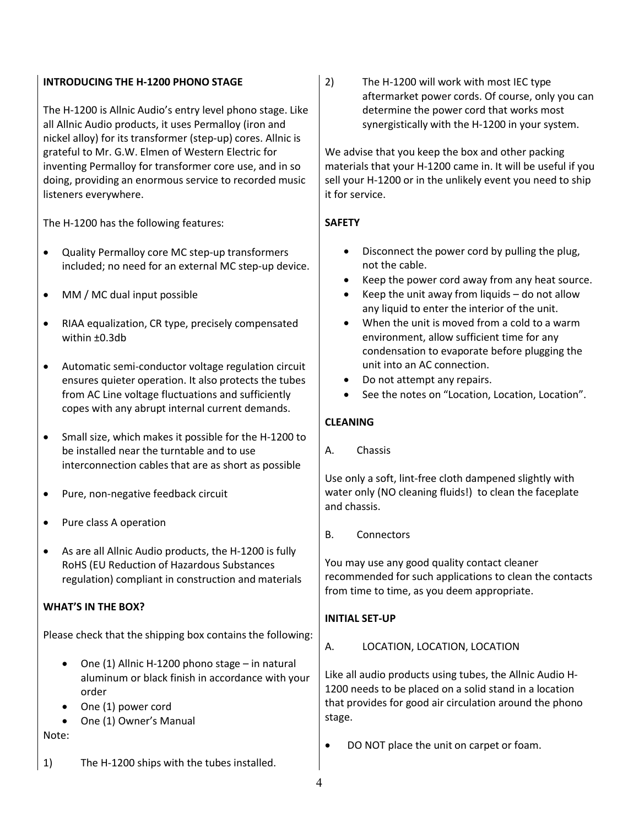### **INTRODUCING THE H-1200 PHONO STAGE**

The H-1200 is Allnic Audio's entry level phono stage. Like all Allnic Audio products, it uses Permalloy (iron and nickel alloy) for its transformer (step-up) cores. Allnic is grateful to Mr. G.W. Elmen of Western Electric for inventing Permalloy for transformer core use, and in so doing, providing an enormous service to recorded music listeners everywhere.

The H-1200 has the following features:

- Quality Permalloy core MC step-up transformers included; no need for an external MC step-up device.
- MM / MC dual input possible
- RIAA equalization, CR type, precisely compensated within ±0.3db
- Automatic semi-conductor voltage regulation circuit ensures quieter operation. It also protects the tubes from AC Line voltage fluctuations and sufficiently copes with any abrupt internal current demands.
- Small size, which makes it possible for the H-1200 to be installed near the turntable and to use interconnection cables that are as short as possible
- Pure, non-negative feedback circuit
- Pure class A operation
- As are all Allnic Audio products, the H-1200 is fully RoHS (EU Reduction of Hazardous Substances regulation) compliant in construction and materials

### **WHAT'S IN THE BOX?**

Please check that the shipping box contains the following:

- $\bullet$  One (1) Allnic H-1200 phono stage in natural aluminum or black finish in accordance with your order
- One (1) power cord
- One (1) Owner's Manual

Note:

1) The H-1200 ships with the tubes installed.

2) The H-1200 will work with most IEC type aftermarket power cords. Of course, only you can determine the power cord that works most synergistically with the H-1200 in your system.

We advise that you keep the box and other packing materials that your H-1200 came in. It will be useful if you sell your H-1200 or in the unlikely event you need to ship it for service.

## **SAFETY**

- Disconnect the power cord by pulling the plug, not the cable.
- Keep the power cord away from any heat source.
- Keep the unit away from liquids do not allow any liquid to enter the interior of the unit.
- When the unit is moved from a cold to a warm environment, allow sufficient time for any condensation to evaporate before plugging the unit into an AC connection.
- Do not attempt any repairs.
- See the notes on "Location, Location, Location".

## **CLEANING**

A. Chassis

Use only a soft, lint-free cloth dampened slightly with water only (NO cleaning fluids!) to clean the faceplate and chassis.

B. Connectors

You may use any good quality contact cleaner recommended for such applications to clean the contacts from time to time, as you deem appropriate.

### **INITIAL SET-UP**

A. LOCATION, LOCATION, LOCATION

Like all audio products using tubes, the Allnic Audio H-1200 needs to be placed on a solid stand in a location that provides for good air circulation around the phono stage.

DO NOT place the unit on carpet or foam.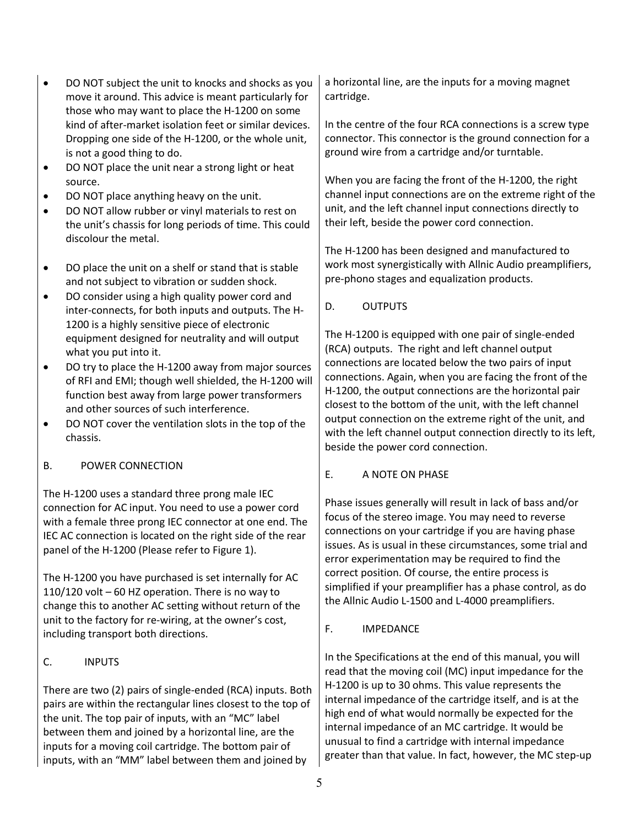- DO NOT subject the unit to knocks and shocks as you move it around. This advice is meant particularly for those who may want to place the H-1200 on some kind of after-market isolation feet or similar devices. Dropping one side of the H-1200, or the whole unit, is not a good thing to do.
- DO NOT place the unit near a strong light or heat source.
- DO NOT place anything heavy on the unit.
- DO NOT allow rubber or vinyl materials to rest on the unit's chassis for long periods of time. This could discolour the metal.
- DO place the unit on a shelf or stand that is stable and not subject to vibration or sudden shock.
- DO consider using a high quality power cord and inter-connects, for both inputs and outputs. The H-1200 is a highly sensitive piece of electronic equipment designed for neutrality and will output what you put into it.
- DO try to place the H-1200 away from major sources of RFI and EMI; though well shielded, the H-1200 will function best away from large power transformers and other sources of such interference.
- DO NOT cover the ventilation slots in the top of the chassis.

## B. POWER CONNECTION

The H-1200 uses a standard three prong male IEC connection for AC input. You need to use a power cord with a female three prong IEC connector at one end. The IEC AC connection is located on the right side of the rear panel of the H-1200 (Please refer to Figure 1).

The H-1200 you have purchased is set internally for AC 110/120 volt – 60 HZ operation. There is no way to change this to another AC setting without return of the unit to the factory for re-wiring, at the owner's cost, including transport both directions.

## C. INPUTS

There are two (2) pairs of single-ended (RCA) inputs. Both pairs are within the rectangular lines closest to the top of the unit. The top pair of inputs, with an "MC" label between them and joined by a horizontal line, are the inputs for a moving coil cartridge. The bottom pair of inputs, with an "MM" label between them and joined by

a horizontal line, are the inputs for a moving magnet cartridge.

In the centre of the four RCA connections is a screw type connector. This connector is the ground connection for a ground wire from a cartridge and/or turntable.

When you are facing the front of the H-1200, the right channel input connections are on the extreme right of the unit, and the left channel input connections directly to their left, beside the power cord connection.

The H-1200 has been designed and manufactured to work most synergistically with Allnic Audio preamplifiers, pre-phono stages and equalization products.

D. OUTPUTS

The H-1200 is equipped with one pair of single-ended (RCA) outputs. The right and left channel output connections are located below the two pairs of input connections. Again, when you are facing the front of the H-1200, the output connections are the horizontal pair closest to the bottom of the unit, with the left channel output connection on the extreme right of the unit, and with the left channel output connection directly to its left, beside the power cord connection.

## E. A NOTE ON PHASE

Phase issues generally will result in lack of bass and/or focus of the stereo image. You may need to reverse connections on your cartridge if you are having phase issues. As is usual in these circumstances, some trial and error experimentation may be required to find the correct position. Of course, the entire process is simplified if your preamplifier has a phase control, as do the Allnic Audio L-1500 and L-4000 preamplifiers.

## F. IMPEDANCE

In the Specifications at the end of this manual, you will read that the moving coil (MC) input impedance for the H-1200 is up to 30 ohms. This value represents the internal impedance of the cartridge itself, and is at the high end of what would normally be expected for the internal impedance of an MC cartridge. It would be unusual to find a cartridge with internal impedance greater than that value. In fact, however, the MC step-up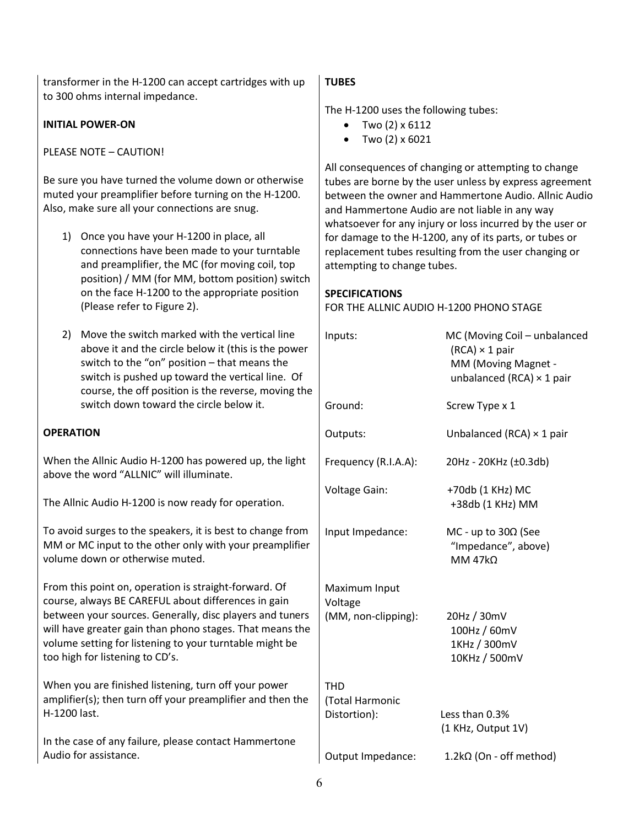transformer in the H-1200 can accept cartridges with up to 300 ohms internal impedance.

#### **INITIAL POWER-ON**

PLEASE NOTE – CAUTION!

Be sure you have turned the volume down or otherwise muted your preamplifier before turning on the H-1200. Also, make sure all your connections are snug.

- 1) Once you have your H-1200 in place, all connections have been made to your turntable and preamplifier, the MC (for moving coil, top position) / MM (for MM, bottom position) switch on the face H-1200 to the appropriate position (Please refer to Figure 2).
- 2) Move the switch marked with the vertical line above it and the circle below it (this is the power switch to the "on" position – that means the switch is pushed up toward the vertical line. Of course, the off position is the reverse, moving t switch down toward the circle below it.

#### **OPERATION**

When the Allnic Audio H-1200 has powered up, the light above the word "ALLNIC" will illuminate.

The Allnic Audio H-1200 is now ready for operation.

To avoid surges to the speakers, it is best to change from MM or MC input to the other only with your preamplifi volume down or otherwise muted.

From this point on, operation is straight-forward. Of course, always BE CAREFUL about differences in gain between your sources. Generally, disc players and tune will have greater gain than phono stages. That means th volume setting for listening to your turntable might be too high for listening to CD's.

When you are finished listening, turn off your power amplifier(s); then turn off your preamplifier and then th H-1200 last.

In the case of any failure, please contact Hammertone Audio for assistance.

#### **TUBES**

The H-1200 uses the following tubes:

- Two  $(2) \times 6112$
- $\bullet$  Two (2) x 6021

All consequences of changing or attempting to change tubes are borne by the user unless by express agreement between the owner and Hammertone Audio. Allnic Audio and Hammertone Audio are not liable in any way whatsoever for any injury or loss incurred by the user or for damage to the H-1200, any of its parts, or tubes or replacement tubes resulting from the user changing or attempting to change tubes.

#### **SPECIFICATIONS**

FOR THE ALLNIC AUDIO H-1200 PHONO STAGE

| er<br>f<br>he: | Inputs:                                         | MC (Moving Coil - unbalanced<br>$(RCA) \times 1$ pair<br>MM (Moving Magnet -<br>unbalanced (RCA) $\times$ 1 pair |
|----------------|-------------------------------------------------|------------------------------------------------------------------------------------------------------------------|
|                | Ground:                                         | Screw Type x 1                                                                                                   |
|                | Outputs:                                        | Unbalanced (RCA) $\times$ 1 pair                                                                                 |
| ١t             | Frequency (R.I.A.A):                            | 20Hz - 20KHz (±0.3db)                                                                                            |
|                | <b>Voltage Gain:</b>                            | +70db (1 KHz) MC<br>+38db (1 KHz) MM                                                                             |
| m<br>er        | Input Impedance:                                | MC - up to $30\Omega$ (See<br>"Impedance", above)<br>MM $47k\Omega$                                              |
| 'rs<br>he      | Maximum Input<br>Voltage<br>(MM, non-clipping): | 20Hz / 30mV<br>100Hz / 60mV<br>1KHz / 300mV<br>10KHz / 500mV                                                     |
| ٦ė             | <b>THD</b><br>(Total Harmonic<br>Distortion):   | Less than 0.3%<br>(1 KHz, Output 1V)                                                                             |
|                | Output Impedance:                               | $1.2$ k $\Omega$ (On - off method)                                                                               |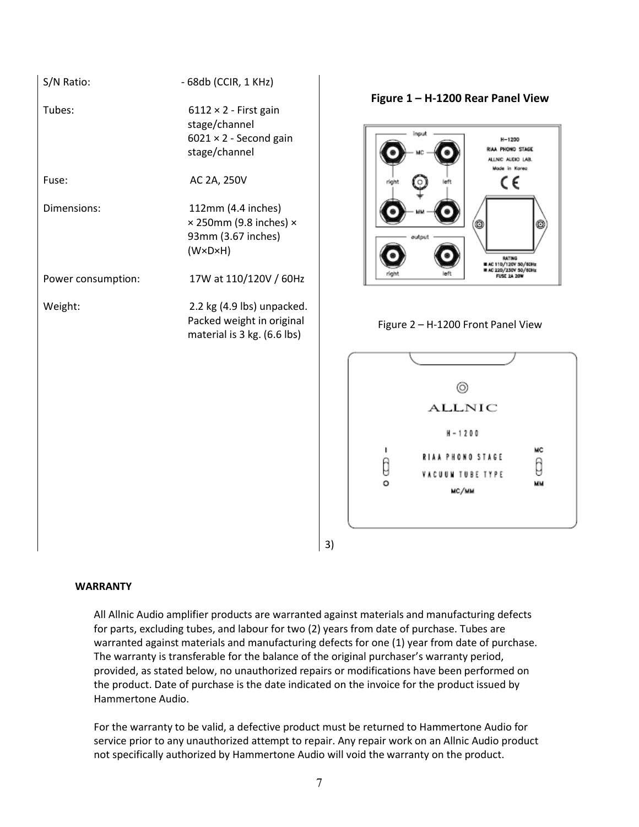| S/N Ratio:         | - 68db (CCIR, 1 KHz)                                                                                        |
|--------------------|-------------------------------------------------------------------------------------------------------------|
| Tubes:             | $6112 \times 2$ - First gain<br>stage/channel<br>$6021 \times 2$ - Second gain<br>stage/channel             |
| Fuse:              | AC 2A, 250V                                                                                                 |
| Dimensions:        | 112mm (4.4 inches)<br>$\times$ 250mm (9.8 inches) $\times$<br>93mm (3.67 inches)<br>$(W \times D \times H)$ |
| Power consumption: | 17W at 110/120V / 60Hz                                                                                      |
| Weight:            | 2.2 kg (4.9 lbs) unpacked.<br>Packed weight in original<br>material is 3 kg. (6.6 lbs)                      |

**Figure 1 – H-1200 Rear Panel View**







3)

#### **WARRANTY**

All Allnic Audio amplifier products are warranted against materials and manufacturing defects for parts, excluding tubes, and labour for two (2) years from date of purchase. Tubes are warranted against materials and manufacturing defects for one (1) year from date of purchase. The warranty is transferable for the balance of the original purchaser's warranty period, provided, as stated below, no unauthorized repairs or modifications have been performed on the product. Date of purchase is the date indicated on the invoice for the product issued by Hammertone Audio.

For the warranty to be valid, a defective product must be returned to Hammertone Audio for service prior to any unauthorized attempt to repair. Any repair work on an Allnic Audio product not specifically authorized by Hammertone Audio will void the warranty on the product.